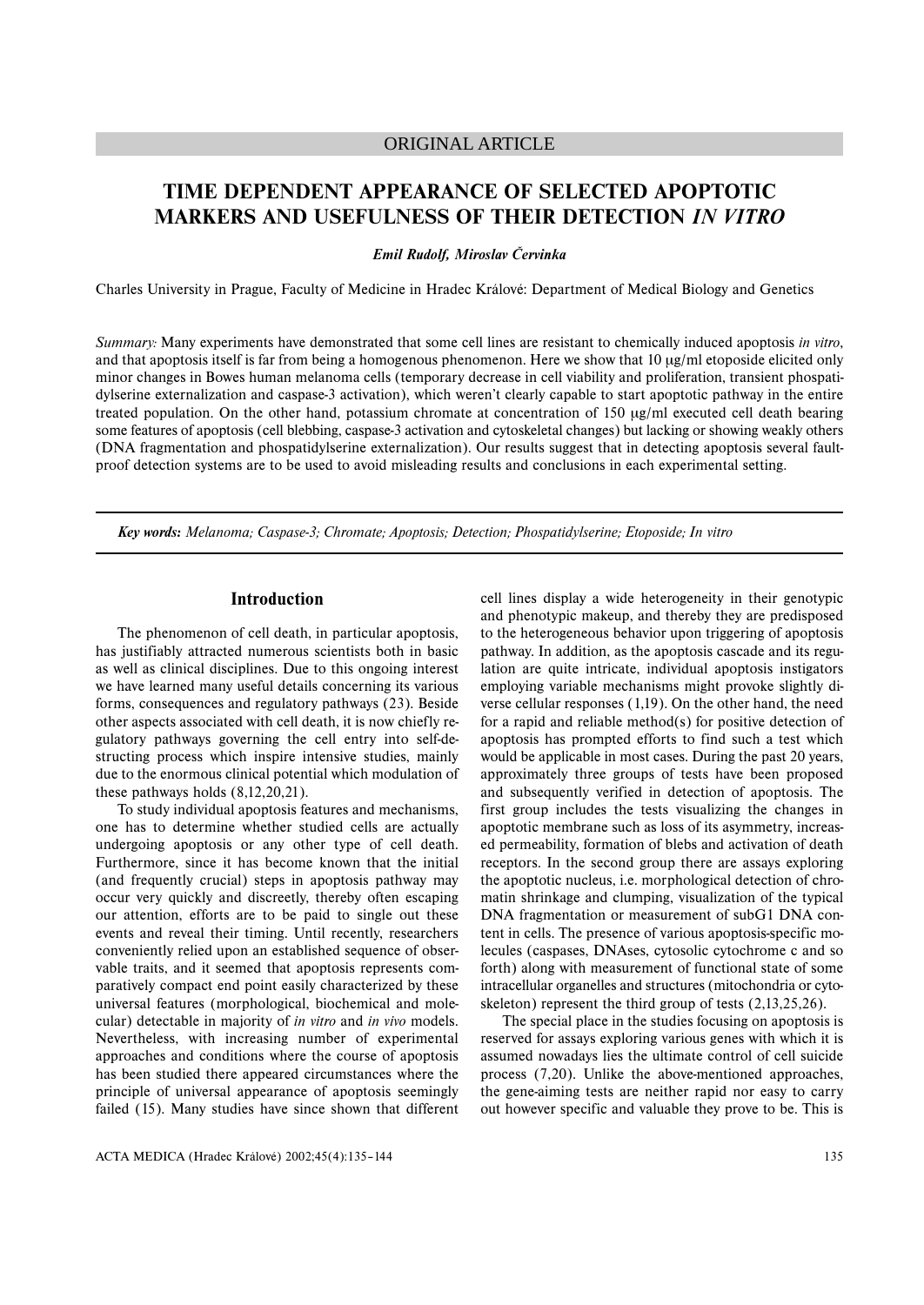# ORIGINAL ARTICLE

# **TIME DEPENDENT APPEARANCE OF SELECTED APOPTOTIC MARKERS AND USEFULNESS OF THEIR DETECTION** *IN VITRO*

*Emil Rudolf, Miroslav Červinka*

Charles University in Prague, Faculty of Medicine in Hradec Králové: Department of Medical Biology and Genetics

*Summary:* Many experiments have demonstrated that some cell lines are resistant to chemically induced apoptosis *in vitro*, and that apoptosis itself is far from being a homogenous phenomenon. Here we show that 10 µg/ml etoposide elicited only minor changes in Bowes human melanoma cells (temporary decrease in cell viability and proliferation, transient phospatidylserine externalization and caspase-3 activation), which weren't clearly capable to start apoptotic pathway in the entire treated population. On the other hand, potassium chromate at concentration of 150  $\mu$ g/ml executed cell death bearing some features of apoptosis (cell blebbing, caspase-3 activation and cytoskeletal changes) but lacking or showing weakly others (DNA fragmentation and phospatidylserine externalization). Our results suggest that in detecting apoptosis several faultproof detection systems are to be used to avoid misleading results and conclusions in each experimental setting.

*Key words: Melanoma; Caspase-3; Chromate; Apoptosis; Detection; Phospatidylserine; Etoposide; In vitro*

# **Introduction**

The phenomenon of cell death, in particular apoptosis, has justifiably attracted numerous scientists both in basic as well as clinical disciplines. Due to this ongoing interest we have learned many useful details concerning its various forms, consequences and regulatory pathways (23). Beside other aspects associated with cell death, it is now chiefly regulatory pathways governing the cell entry into self-destructing process which inspire intensive studies, mainly due to the enormous clinical potential which modulation of these pathways holds (8,12,20,21).

To study individual apoptosis features and mechanisms, one has to determine whether studied cells are actually undergoing apoptosis or any other type of cell death. Furthermore, since it has become known that the initial (and frequently crucial) steps in apoptosis pathway may occur very quickly and discreetly, thereby often escaping our attention, efforts are to be paid to single out these events and reveal their timing. Until recently, researchers conveniently relied upon an established sequence of observable traits, and it seemed that apoptosis represents comparatively compact end point easily characterized by these universal features (morphological, biochemical and molecular) detectable in majority of *in vitro* and *in vivo* models. Nevertheless, with increasing number of experimental approaches and conditions where the course of apoptosis has been studied there appeared circumstances where the principle of universal appearance of apoptosis seemingly failed (15). Many studies have since shown that different

cell lines display a wide heterogeneity in their genotypic and phenotypic makeup, and thereby they are predisposed to the heterogeneous behavior upon triggering of apoptosis pathway. In addition, as the apoptosis cascade and its regulation are quite intricate, individual apoptosis instigators employing variable mechanisms might provoke slightly diverse cellular responses (1,19). On the other hand, the need for a rapid and reliable method(s) for positive detection of apoptosis has prompted efforts to find such a test which would be applicable in most cases. During the past 20 years, approximately three groups of tests have been proposed and subsequently verified in detection of apoptosis. The first group includes the tests visualizing the changes in apoptotic membrane such as loss of its asymmetry, increased permeability, formation of blebs and activation of death receptors. In the second group there are assays exploring the apoptotic nucleus, i.e. morphological detection of chromatin shrinkage and clumping, visualization of the typical DNA fragmentation or measurement of subG1 DNA content in cells. The presence of various apoptosis-specific molecules (caspases, DNAses, cytosolic cytochrome c and so forth) along with measurement of functional state of some intracellular organelles and structures (mitochondria or cytoskeleton) represent the third group of tests (2,13,25,26).

The special place in the studies focusing on apoptosis is reserved for assays exploring various genes with which it is assumed nowadays lies the ultimate control of cell suicide process (7,20). Unlike the above-mentioned approaches, the gene-aiming tests are neither rapid nor easy to carry out however specific and valuable they prove to be. This is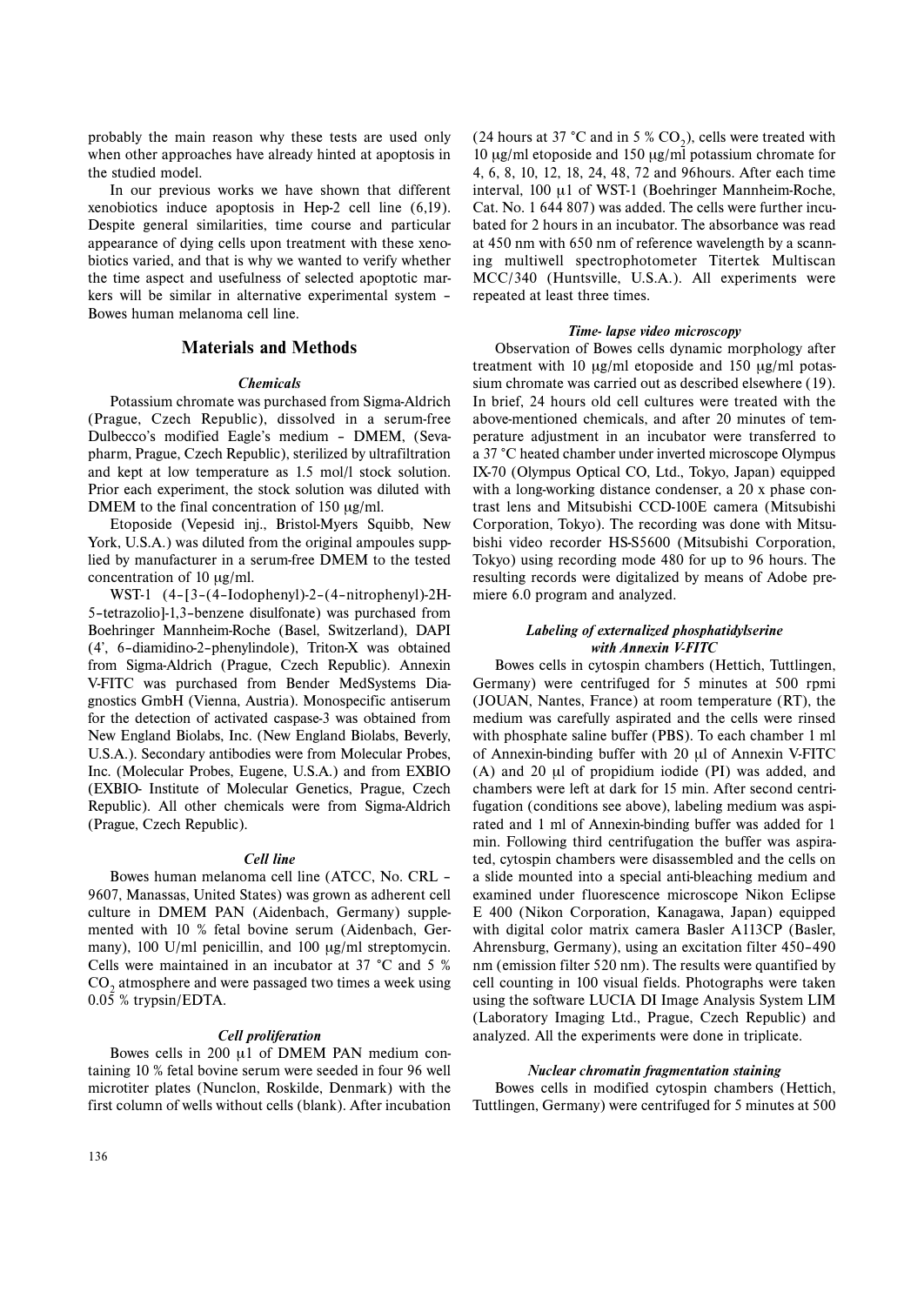probably the main reason why these tests are used only when other approaches have already hinted at apoptosis in the studied model.

In our previous works we have shown that different xenobiotics induce apoptosis in Hep-2 cell line (6,19). Despite general similarities, time course and particular appearance of dying cells upon treatment with these xenobiotics varied, and that is why we wanted to verify whether the time aspect and usefulness of selected apoptotic markers will be similar in alternative experimental system – Bowes human melanoma cell line.

# **Materials and Methods**

#### *Chemicals*

Potassium chromate was purchased from Sigma-Aldrich (Prague, Czech Republic), dissolved in a serum-free Dulbecco's modified Eagle's medium – DMEM, (Sevapharm, Prague, Czech Republic), sterilized by ultrafiltration and kept at low temperature as 1.5 mol/l stock solution. Prior each experiment, the stock solution was diluted with DMEM to the final concentration of 150 µg/ml.

Etoposide (Vepesid inj., Bristol-Myers Squibb, New York, U.S.A.) was diluted from the original ampoules supplied by manufacturer in a serum-free DMEM to the tested concentration of 10  $\mu$ g/ml.

WST-1 (4–[3–(4–Iodophenyl)-2–(4–nitrophenyl)-2H-5–tetrazolio]-1,3–benzene disulfonate) was purchased from Boehringer Mannheim-Roche (Basel, Switzerland), DAPI (4', 6–diamidino-2–phenylindole), Triton-X was obtained from Sigma-Aldrich (Prague, Czech Republic). Annexin V-FITC was purchased from Bender MedSystems Diagnostics GmbH (Vienna, Austria). Monospecific antiserum for the detection of activated caspase-3 was obtained from New England Biolabs, Inc. (New England Biolabs, Beverly, U.S.A.). Secondary antibodies were from Molecular Probes, Inc. (Molecular Probes, Eugene, U.S.A.) and from EXBIO (EXBIO- Institute of Molecular Genetics, Prague, Czech Republic). All other chemicals were from Sigma-Aldrich (Prague, Czech Republic).

#### *Cell line*

Bowes human melanoma cell line (ATCC, No. CRL – 9607, Manassas, United States) was grown as adherent cell culture in DMEM PAN (Aidenbach, Germany) supplemented with 10 % fetal bovine serum (Aidenbach, Germany), 100 U/ml penicillin, and 100  $\mu$ g/ml streptomycin. Cells were maintained in an incubator at 37 °C and 5 % CO<sub>2</sub> atmosphere and were passaged two times a week using 0.05 % trypsin/EDTA.

#### *Cell proliferation*

Bowes cells in 200  $\mu$ 1 of DMEM PAN medium containing 10 % fetal bovine serum were seeded in four 96 well microtiter plates (Nunclon, Roskilde, Denmark) with the first column of wells without cells (blank). After incubation

(24 hours at 37 °C and in 5 %  $CO<sub>2</sub>$ ), cells were treated with 10 µg/ml etoposide and 150 µg/ml potassium chromate for 4, 6, 8, 10, 12, 18, 24, 48, 72 and 96hours. After each time interval, 100 µ1 of WST-1 (Boehringer Mannheim-Roche, Cat. No. 1 644 807) was added. The cells were further incubated for 2 hours in an incubator. The absorbance was read at 450 nm with 650 nm of reference wavelength by a scanning multiwell spectrophotometer Titertek Multiscan MCC/340 (Huntsville, U.S.A.). All experiments were repeated at least three times.

#### *Time- lapse video microscopy*

Observation of Bowes cells dynamic morphology after treatment with 10  $\mu$ g/ml etoposide and 150  $\mu$ g/ml potassium chromate was carried out as described elsewhere (19). In brief, 24 hours old cell cultures were treated with the above-mentioned chemicals, and after 20 minutes of temperature adjustment in an incubator were transferred to a 37 °C heated chamber under inverted microscope Olympus IX-70 (Olympus Optical CO, Ltd., Tokyo, Japan) equipped with a long-working distance condenser, a 20 x phase contrast lens and Mitsubishi CCD-100E camera (Mitsubishi Corporation, Tokyo). The recording was done with Mitsubishi video recorder HS-S5600 (Mitsubishi Corporation, Tokyo) using recording mode 480 for up to 96 hours. The resulting records were digitalized by means of Adobe premiere 6.0 program and analyzed.

### *Labeling of externalized phosphatidylserine with Annexin V-FITC*

Bowes cells in cytospin chambers (Hettich, Tuttlingen, Germany) were centrifuged for 5 minutes at 500 rpmi (JOUAN, Nantes, France) at room temperature (RT), the medium was carefully aspirated and the cells were rinsed with phosphate saline buffer (PBS). To each chamber 1 ml of Annexin-binding buffer with 20 µl of Annexin V-FITC (A) and 20 µl of propidium iodide (PI) was added, and chambers were left at dark for 15 min. After second centrifugation (conditions see above), labeling medium was aspirated and 1 ml of Annexin-binding buffer was added for 1 min. Following third centrifugation the buffer was aspirated, cytospin chambers were disassembled and the cells on a slide mounted into a special anti-bleaching medium and examined under fluorescence microscope Nikon Eclipse E 400 (Nikon Corporation, Kanagawa, Japan) equipped with digital color matrix camera Basler A113CP (Basler, Ahrensburg, Germany), using an excitation filter 450–490 nm (emission filter 520 nm). The results were quantified by cell counting in 100 visual fields. Photographs were taken using the software LUCIA DI Image Analysis System LIM (Laboratory Imaging Ltd., Prague, Czech Republic) and analyzed. All the experiments were done in triplicate.

### *Nuclear chromatin fragmentation staining*

Bowes cells in modified cytospin chambers (Hettich, Tuttlingen, Germany) were centrifuged for 5 minutes at 500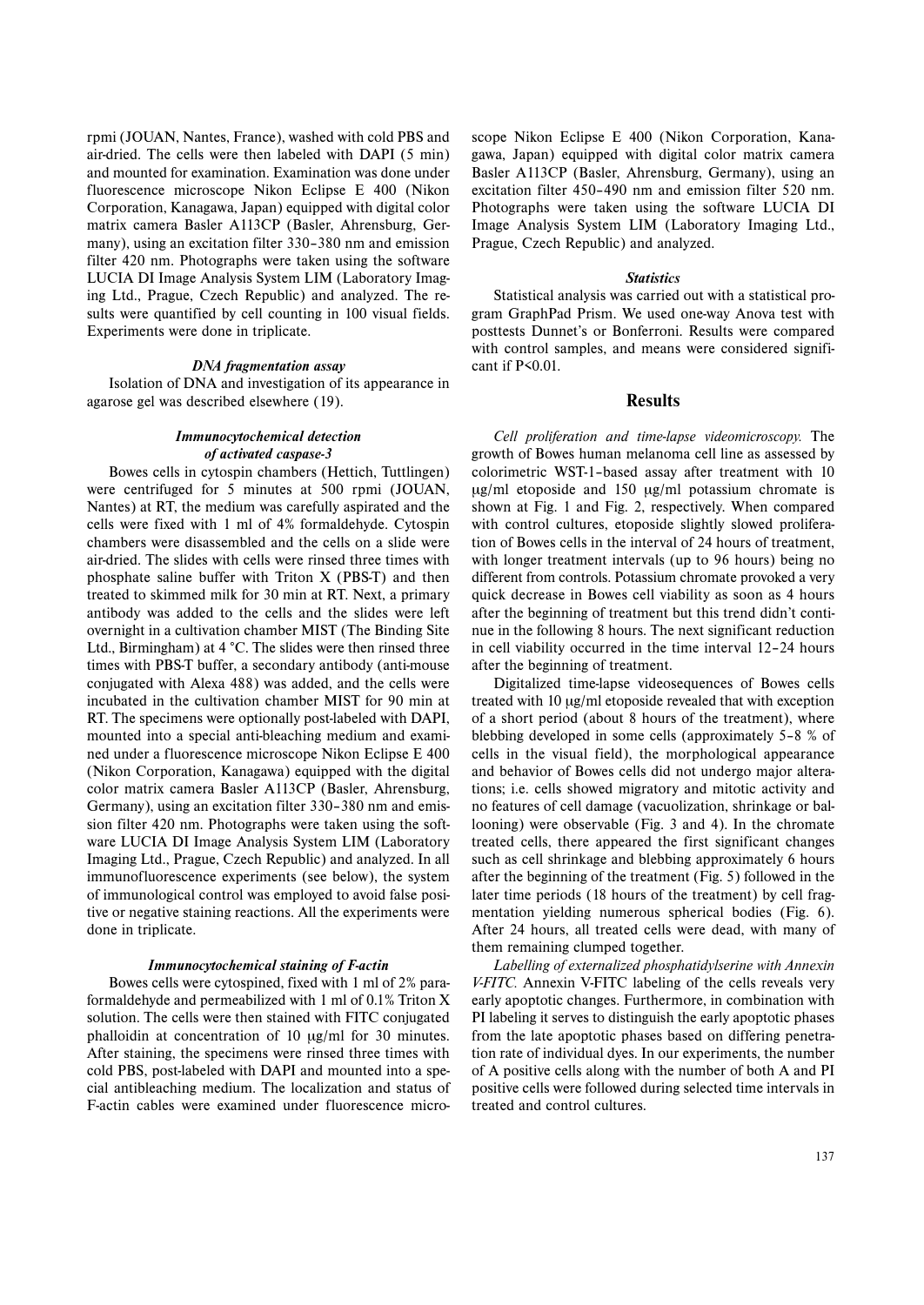rpmi (JOUAN, Nantes, France), washed with cold PBS and air-dried. The cells were then labeled with DAPI (5 min) and mounted for examination. Examination was done under fluorescence microscope Nikon Eclipse E 400 (Nikon Corporation, Kanagawa, Japan) equipped with digital color matrix camera Basler A113CP (Basler, Ahrensburg, Germany), using an excitation filter 330–380 nm and emission filter 420 nm. Photographs were taken using the software LUCIA DI Image Analysis System LIM (Laboratory Imaging Ltd., Prague, Czech Republic) and analyzed. The results were quantified by cell counting in 100 visual fields. Experiments were done in triplicate.

# *DNA fragmentation assay*

Isolation of DNA and investigation of its appearance in agarose gel was described elsewhere (19).

# *Immunocytochemical detection of activated caspase-3*

Bowes cells in cytospin chambers (Hettich, Tuttlingen) were centrifuged for 5 minutes at 500 rpmi (JOUAN, Nantes) at RT, the medium was carefully aspirated and the cells were fixed with 1 ml of 4% formaldehyde. Cytospin chambers were disassembled and the cells on a slide were air-dried. The slides with cells were rinsed three times with phosphate saline buffer with Triton X (PBS-T) and then treated to skimmed milk for 30 min at RT. Next, a primary antibody was added to the cells and the slides were left overnight in a cultivation chamber MIST (The Binding Site Ltd., Birmingham) at 4 °C. The slides were then rinsed three times with PBS-T buffer, a secondary antibody (anti-mouse conjugated with Alexa 488) was added, and the cells were incubated in the cultivation chamber MIST for 90 min at RT. The specimens were optionally post-labeled with DAPI, mounted into a special anti-bleaching medium and examined under a fluorescence microscope Nikon Eclipse E 400 (Nikon Corporation, Kanagawa) equipped with the digital color matrix camera Basler A113CP (Basler, Ahrensburg, Germany), using an excitation filter 330–380 nm and emission filter 420 nm. Photographs were taken using the software LUCIA DI Image Analysis System LIM (Laboratory Imaging Ltd., Prague, Czech Republic) and analyzed. In all immunofluorescence experiments (see below), the system of immunological control was employed to avoid false positive or negative staining reactions. All the experiments were done in triplicate.

#### *Immunocytochemical staining of F-actin*

Bowes cells were cytospined, fixed with 1 ml of 2% paraformaldehyde and permeabilized with 1 ml of 0.1% Triton X solution. The cells were then stained with FITC conjugated phalloidin at concentration of 10 µg/ml for 30 minutes. After staining, the specimens were rinsed three times with cold PBS, post-labeled with DAPI and mounted into a special antibleaching medium. The localization and status of F-actin cables were examined under fluorescence microscope Nikon Eclipse E 400 (Nikon Corporation, Kanagawa, Japan) equipped with digital color matrix camera Basler A113CP (Basler, Ahrensburg, Germany), using an excitation filter 450–490 nm and emission filter 520 nm. Photographs were taken using the software LUCIA DI Image Analysis System LIM (Laboratory Imaging Ltd., Prague, Czech Republic) and analyzed.

# *Statistics*

Statistical analysis was carried out with a statistical program GraphPad Prism. We used one-way Anova test with posttests Dunnet's or Bonferroni. Results were compared with control samples, and means were considered significant if P<0.01.

## **Results**

*Cell proliferation and time-lapse videomicroscopy.* The growth of Bowes human melanoma cell line as assessed by colorimetric WST-1–based assay after treatment with 10 µg/ml etoposide and 150 µg/ml potassium chromate is shown at Fig. 1 and Fig. 2, respectively. When compared with control cultures, etoposide slightly slowed proliferation of Bowes cells in the interval of 24 hours of treatment, with longer treatment intervals (up to 96 hours) being no different from controls. Potassium chromate provoked a very quick decrease in Bowes cell viability as soon as 4 hours after the beginning of treatment but this trend didn't continue in the following 8 hours. The next significant reduction in cell viability occurred in the time interval 12–24 hours after the beginning of treatment.

Digitalized time-lapse videosequences of Bowes cells treated with 10 µg/ml etoposide revealed that with exception of a short period (about 8 hours of the treatment), where blebbing developed in some cells (approximately 5–8 % of cells in the visual field), the morphological appearance and behavior of Bowes cells did not undergo major alterations; i.e. cells showed migratory and mitotic activity and no features of cell damage (vacuolization, shrinkage or ballooning) were observable (Fig. 3 and 4). In the chromate treated cells, there appeared the first significant changes such as cell shrinkage and blebbing approximately 6 hours after the beginning of the treatment (Fig. 5) followed in the later time periods (18 hours of the treatment) by cell fragmentation yielding numerous spherical bodies (Fig. 6). After 24 hours, all treated cells were dead, with many of them remaining clumped together.

*Labelling of externalized phosphatidylserine with Annexin V-FITC.* Annexin V-FITC labeling of the cells reveals very early apoptotic changes. Furthermore, in combination with PI labeling it serves to distinguish the early apoptotic phases from the late apoptotic phases based on differing penetration rate of individual dyes. In our experiments, the number of A positive cells along with the number of both A and PI positive cells were followed during selected time intervals in treated and control cultures.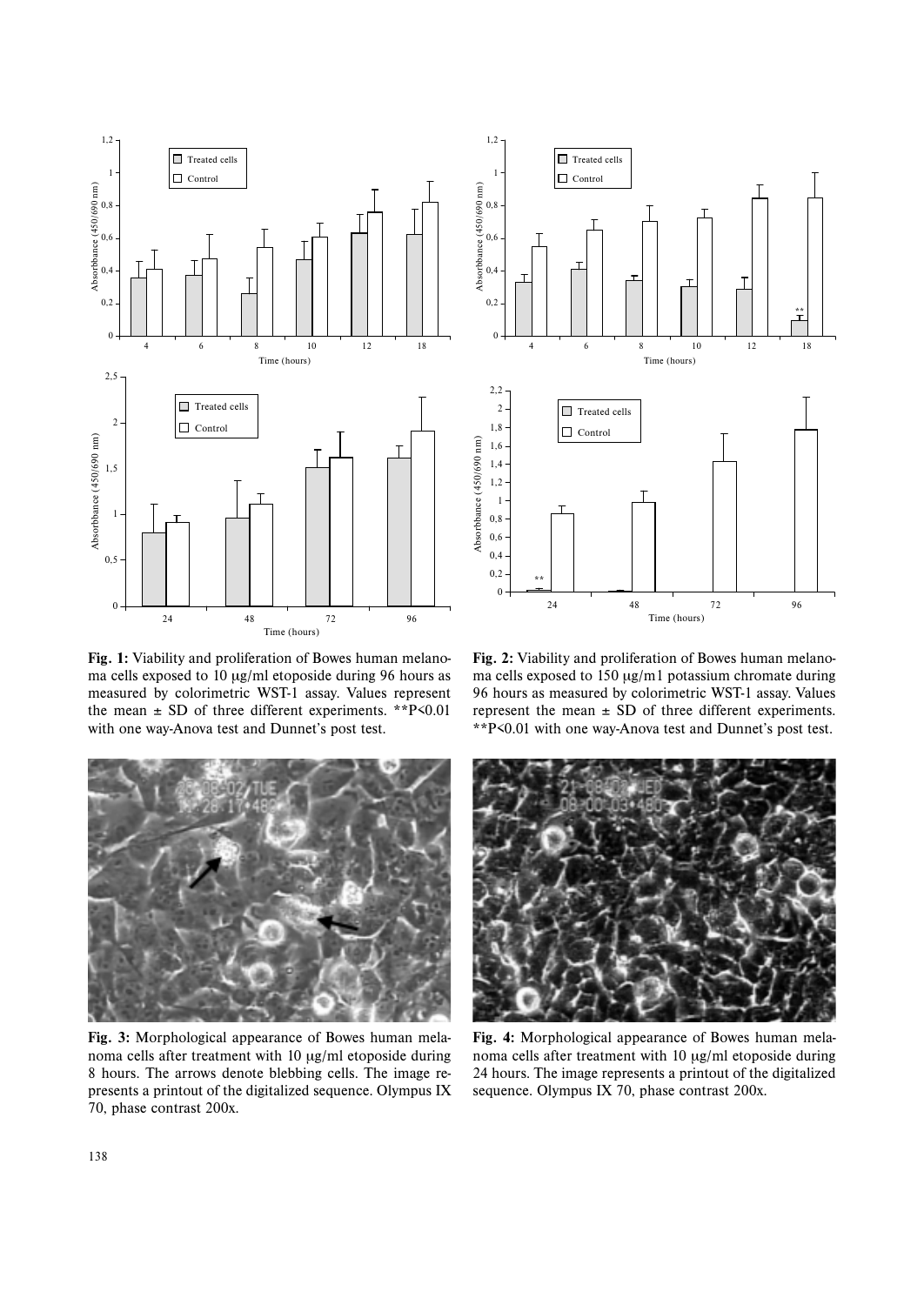

**Fig. 1:** Viability and proliferation of Bowes human melanoma cells exposed to 10 µg/ml etoposide during 96 hours as measured by colorimetric WST-1 assay. Values represent the mean  $\pm$  SD of three different experiments. \*\*P<0.01 with one way-Anova test and Dunnet's post test.



**Fig. 2:** Viability and proliferation of Bowes human melanoma cells exposed to 150 µg/m1 potassium chromate during 96 hours as measured by colorimetric WST-1 assay. Values represent the mean  $\pm$  SD of three different experiments. \*\*P<0.01 with one way-Anova test and Dunnet's post test.



**Fig. 3:** Morphological appearance of Bowes human melanoma cells after treatment with 10 µg/ml etoposide during 8 hours. The arrows denote blebbing cells. The image represents a printout of the digitalized sequence. Olympus IX 70, phase contrast 200x.



**Fig. 4:** Morphological appearance of Bowes human melanoma cells after treatment with 10 µg/ml etoposide during 24 hours. The image represents a printout of the digitalized sequence. Olympus IX 70, phase contrast 200x.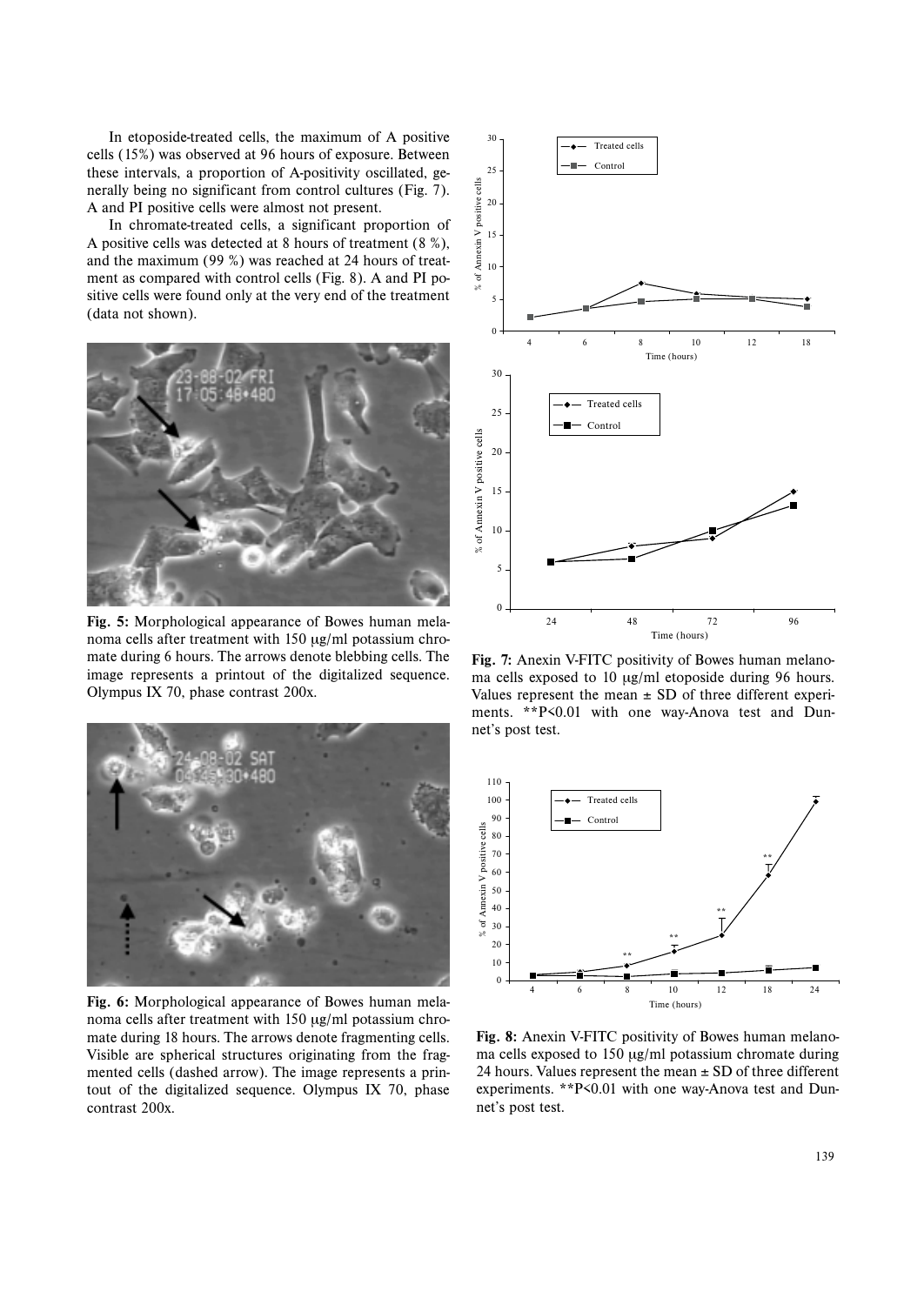In etoposide-treated cells, the maximum of A positive cells (15%) was observed at 96 hours of exposure. Between these intervals, a proportion of A-positivity oscillated, generally being no significant from control cultures (Fig. 7). A and PI positive cells were almost not present.

In chromate-treated cells, a significant proportion of A positive cells was detected at 8 hours of treatment (8 %), and the maximum (99 %) was reached at 24 hours of treatment as compared with control cells (Fig. 8). A and PI positive cells were found only at the very end of the treatment (data not shown).



**Fig. 5:** Morphological appearance of Bowes human melanoma cells after treatment with 150 µg/ml potassium chromate during 6 hours. The arrows denote blebbing cells. The image represents a printout of the digitalized sequence. Olympus IX 70, phase contrast 200x.



**Fig. 6:** Morphological appearance of Bowes human melanoma cells after treatment with 150 µg/ml potassium chromate during 18 hours. The arrows denote fragmenting cells. Visible are spherical structures originating from the fragmented cells (dashed arrow). The image represents a printout of the digitalized sequence. Olympus IX 70, phase contrast 200x.



**Fig. 7:** Anexin V-FITC positivity of Bowes human melanoma cells exposed to 10 µg/ml etoposide during 96 hours. Values represent the mean  $\pm$  SD of three different experiments. \*\*P<0.01 with one way-Anova test and Dunnet's post test.



**Fig. 8:** Anexin V-FITC positivity of Bowes human melanoma cells exposed to 150 µg/ml potassium chromate during 24 hours. Values represent the mean  $\pm$  SD of three different experiments. \*\*P<0.01 with one way-Anova test and Dunnet's post test.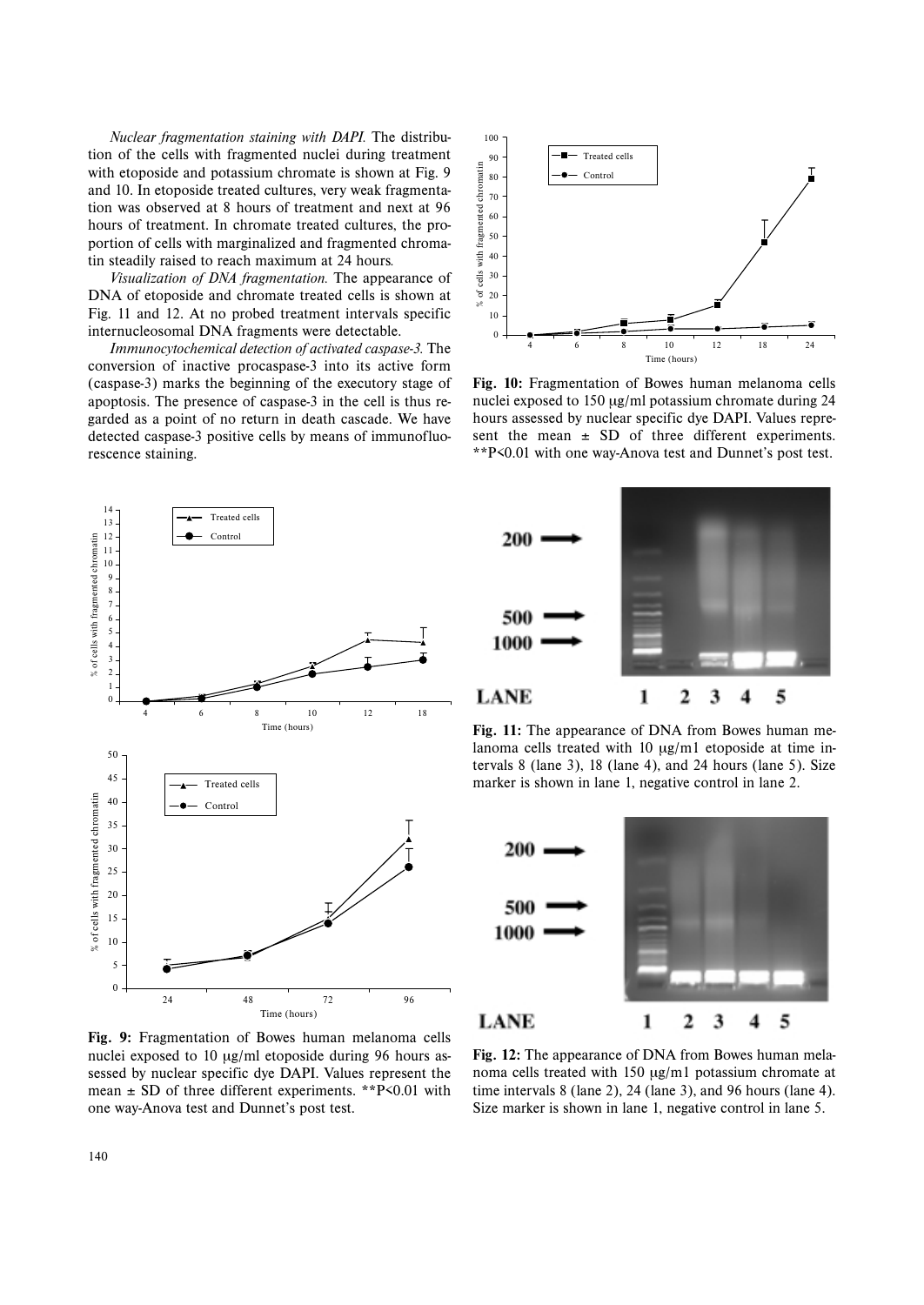*Nuclear fragmentation staining with DAPI.* The distribution of the cells with fragmented nuclei during treatment with etoposide and potassium chromate is shown at Fig. 9 and 10. In etoposide treated cultures, very weak fragmentation was observed at 8 hours of treatment and next at 96 hours of treatment. In chromate treated cultures, the proportion of cells with marginalized and fragmented chromatin steadily raised to reach maximum at 24 hours*.*

*Visualization of DNA fragmentation.* The appearance of DNA of etoposide and chromate treated cells is shown at Fig. 11 and 12. At no probed treatment intervals specific internucleosomal DNA fragments were detectable.

*Immunocytochemical detection of activated caspase-3.* The conversion of inactive procaspase-3 into its active form (caspase-3) marks the beginning of the executory stage of apoptosis. The presence of caspase-3 in the cell is thus regarded as a point of no return in death cascade. We have detected caspase-3 positive cells by means of immunofluorescence staining.



**Fig. 10:** Fragmentation of Bowes human melanoma cells nuclei exposed to 150 µg/ml potassium chromate during 24 hours assessed by nuclear specific dye DAPI. Values represent the mean  $\pm$  SD of three different experiments. \*\*P<0.01 with one way-Anova test and Dunnet's post test.



**Fig. 9:** Fragmentation of Bowes human melanoma cells nuclei exposed to 10 µg/ml etoposide during 96 hours assessed by nuclear specific dye DAPI. Values represent the mean  $\pm$  SD of three different experiments. \*\*P<0.01 with one way-Anova test and Dunnet's post test.



**Fig. 11:** The appearance of DNA from Bowes human melanoma cells treated with 10  $\mu$ g/m1 etoposide at time intervals 8 (lane 3), 18 (lane 4), and 24 hours (lane 5). Size marker is shown in lane 1, negative control in lane 2.



**Fig. 12:** The appearance of DNA from Bowes human melanoma cells treated with 150 µg/m1 potassium chromate at time intervals 8 (lane 2), 24 (lane 3), and 96 hours (lane 4). Size marker is shown in lane 1, negative control in lane 5.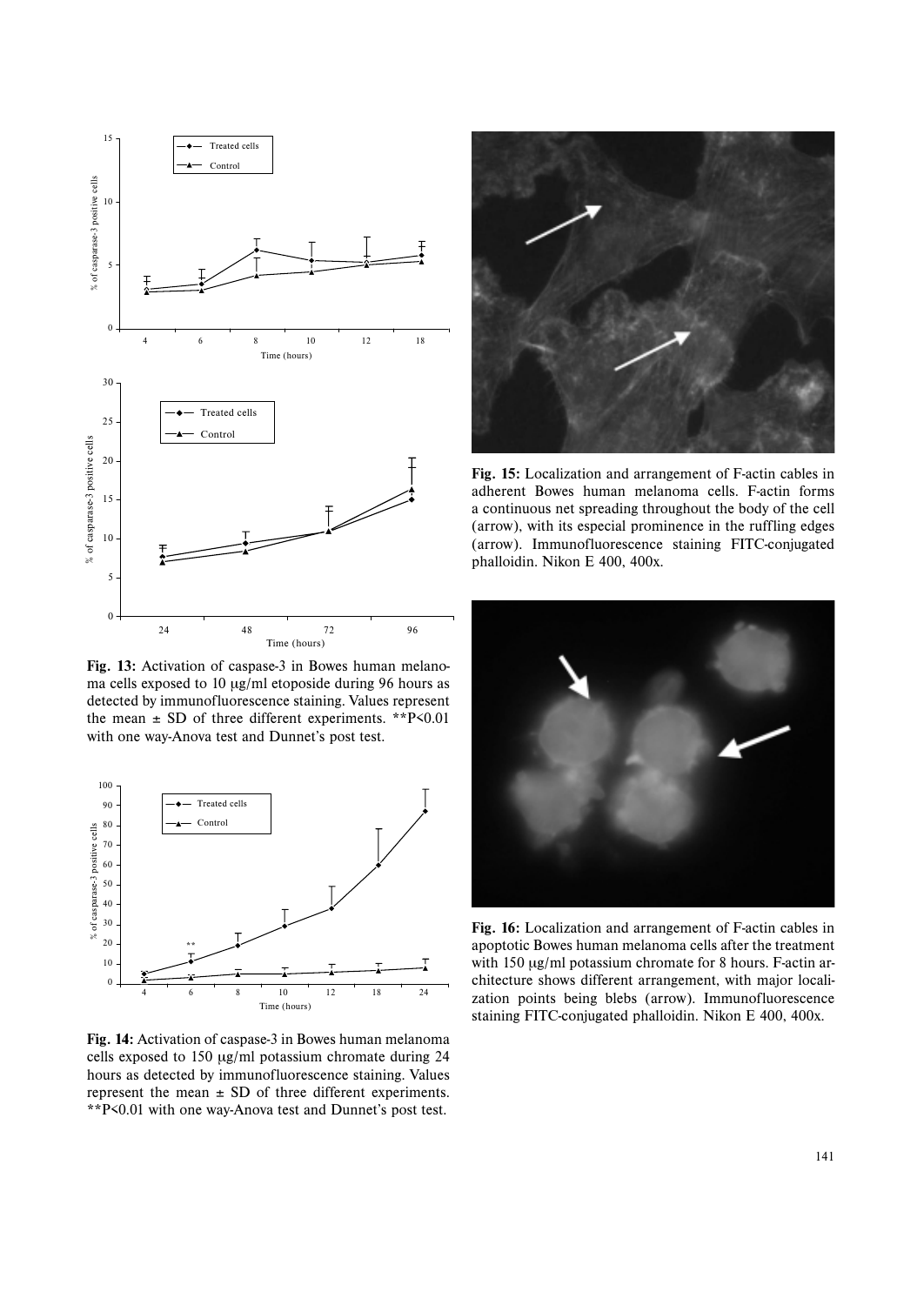

**Fig. 13:** Activation of caspase-3 in Bowes human melanoma cells exposed to 10  $\mu$ g/ml etoposide during 96 hours as detected by immunofluorescence staining. Values represent the mean  $\pm$  SD of three different experiments. \*\*P $\leq 0.01$ with one way-Anova test and Dunnet's post test.



**Fig. 14:** Activation of caspase-3 in Bowes human melanoma cells exposed to 150 µg/ml potassium chromate during 24 hours as detected by immunofluorescence staining. Values represent the mean  $\pm$  SD of three different experiments. \*\*P<0.01 with one way-Anova test and Dunnet's post test.



**Fig. 15:** Localization and arrangement of F-actin cables in adherent Bowes human melanoma cells. F-actin forms a continuous net spreading throughout the body of the cell (arrow), with its especial prominence in the ruffling edges (arrow). Immunofluorescence staining FITC-conjugated phalloidin. Nikon E 400, 400x.



**Fig. 16:** Localization and arrangement of F-actin cables in apoptotic Bowes human melanoma cells after the treatment with 150  $\mu$ g/ml potassium chromate for 8 hours. F-actin architecture shows different arrangement, with major localization points being blebs (arrow). Immunofluorescence staining FITC-conjugated phalloidin. Nikon E 400, 400x.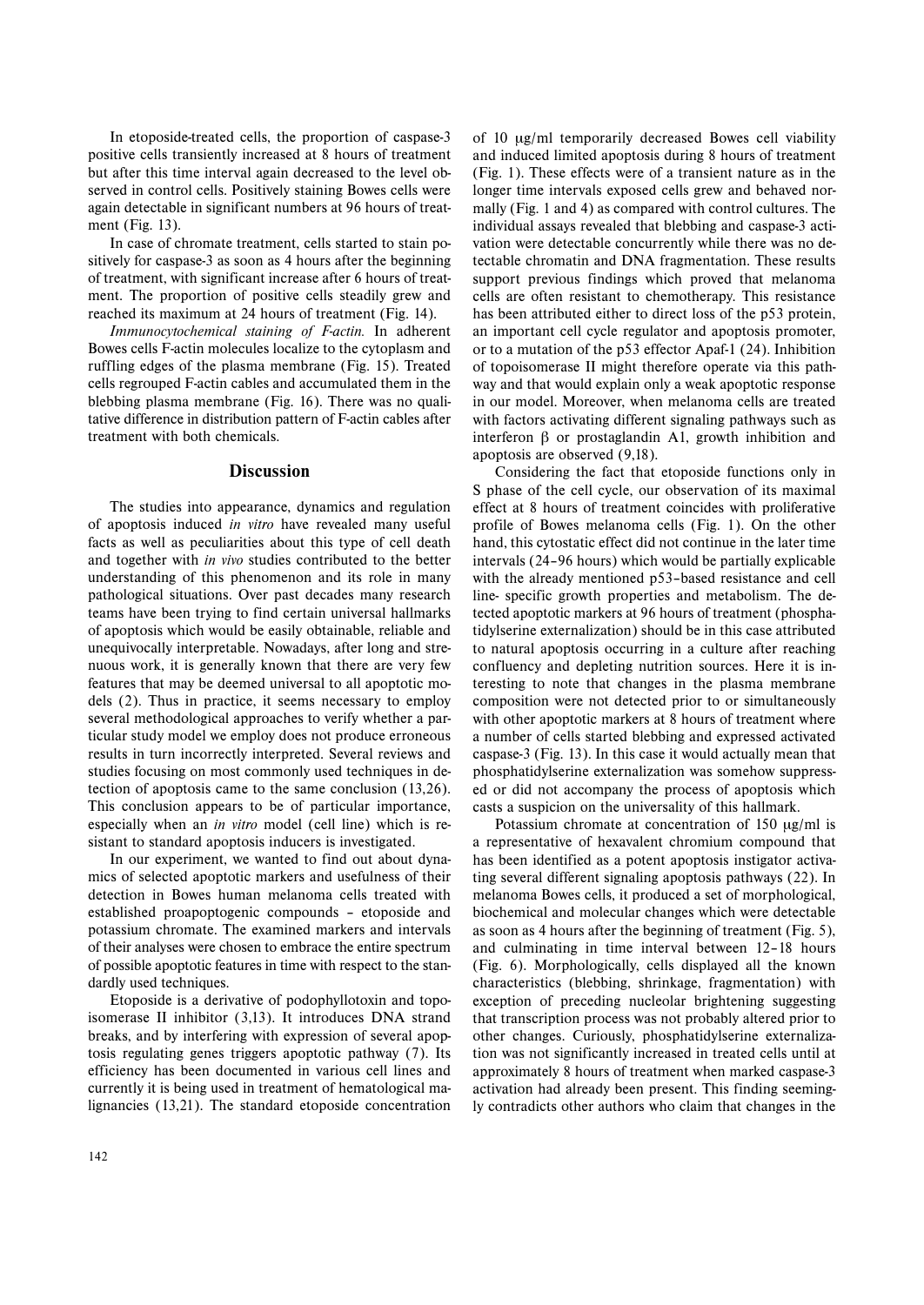In etoposide-treated cells, the proportion of caspase-3 positive cells transiently increased at 8 hours of treatment but after this time interval again decreased to the level observed in control cells. Positively staining Bowes cells were again detectable in significant numbers at 96 hours of treatment (Fig. 13).

In case of chromate treatment, cells started to stain positively for caspase-3 as soon as 4 hours after the beginning of treatment, with significant increase after 6 hours of treatment. The proportion of positive cells steadily grew and reached its maximum at 24 hours of treatment (Fig. 14).

*Immunocytochemical staining of F-actin.* In adherent Bowes cells F-actin molecules localize to the cytoplasm and ruffling edges of the plasma membrane (Fig. 15). Treated cells regrouped F-actin cables and accumulated them in the blebbing plasma membrane (Fig. 16). There was no qualitative difference in distribution pattern of F-actin cables after treatment with both chemicals.

# **Discussion**

The studies into appearance, dynamics and regulation of apoptosis induced *in vitro* have revealed many useful facts as well as peculiarities about this type of cell death and together with *in vivo* studies contributed to the better understanding of this phenomenon and its role in many pathological situations. Over past decades many research teams have been trying to find certain universal hallmarks of apoptosis which would be easily obtainable, reliable and unequivocally interpretable. Nowadays, after long and strenuous work, it is generally known that there are very few features that may be deemed universal to all apoptotic models (2). Thus in practice, it seems necessary to employ several methodological approaches to verify whether a particular study model we employ does not produce erroneous results in turn incorrectly interpreted. Several reviews and studies focusing on most commonly used techniques in detection of apoptosis came to the same conclusion (13,26). This conclusion appears to be of particular importance, especially when an *in vitro* model (cell line) which is resistant to standard apoptosis inducers is investigated.

In our experiment, we wanted to find out about dynamics of selected apoptotic markers and usefulness of their detection in Bowes human melanoma cells treated with established proapoptogenic compounds – etoposide and potassium chromate. The examined markers and intervals of their analyses were chosen to embrace the entire spectrum of possible apoptotic features in time with respect to the standardly used techniques.

Etoposide is a derivative of podophyllotoxin and topoisomerase II inhibitor (3,13). It introduces DNA strand breaks, and by interfering with expression of several apoptosis regulating genes triggers apoptotic pathway (7). Its efficiency has been documented in various cell lines and currently it is being used in treatment of hematological malignancies (13,21). The standard etoposide concentration of 10 µg/ml temporarily decreased Bowes cell viability and induced limited apoptosis during 8 hours of treatment (Fig. 1). These effects were of a transient nature as in the longer time intervals exposed cells grew and behaved normally (Fig. 1 and 4) as compared with control cultures. The individual assays revealed that blebbing and caspase-3 activation were detectable concurrently while there was no detectable chromatin and DNA fragmentation. These results support previous findings which proved that melanoma cells are often resistant to chemotherapy. This resistance has been attributed either to direct loss of the p53 protein, an important cell cycle regulator and apoptosis promoter, or to a mutation of the p53 effector Apaf-1 (24). Inhibition of topoisomerase II might therefore operate via this pathway and that would explain only a weak apoptotic response in our model. Moreover, when melanoma cells are treated with factors activating different signaling pathways such as interferon β or prostaglandin A1, growth inhibition and apoptosis are observed (9,18).

Considering the fact that etoposide functions only in S phase of the cell cycle, our observation of its maximal effect at 8 hours of treatment coincides with proliferative profile of Bowes melanoma cells (Fig. 1). On the other hand, this cytostatic effect did not continue in the later time intervals (24–96 hours) which would be partially explicable with the already mentioned p53–based resistance and cell line- specific growth properties and metabolism. The detected apoptotic markers at 96 hours of treatment (phosphatidylserine externalization) should be in this case attributed to natural apoptosis occurring in a culture after reaching confluency and depleting nutrition sources. Here it is interesting to note that changes in the plasma membrane composition were not detected prior to or simultaneously with other apoptotic markers at 8 hours of treatment where a number of cells started blebbing and expressed activated caspase-3 (Fig. 13). In this case it would actually mean that phosphatidylserine externalization was somehow suppressed or did not accompany the process of apoptosis which casts a suspicion on the universality of this hallmark.

Potassium chromate at concentration of 150 µg/ml is a representative of hexavalent chromium compound that has been identified as a potent apoptosis instigator activating several different signaling apoptosis pathways (22). In melanoma Bowes cells, it produced a set of morphological, biochemical and molecular changes which were detectable as soon as 4 hours after the beginning of treatment (Fig. 5), and culminating in time interval between 12–18 hours (Fig. 6). Morphologically, cells displayed all the known characteristics (blebbing, shrinkage, fragmentation) with exception of preceding nucleolar brightening suggesting that transcription process was not probably altered prior to other changes. Curiously, phosphatidylserine externalization was not significantly increased in treated cells until at approximately 8 hours of treatment when marked caspase-3 activation had already been present. This finding seemingly contradicts other authors who claim that changes in the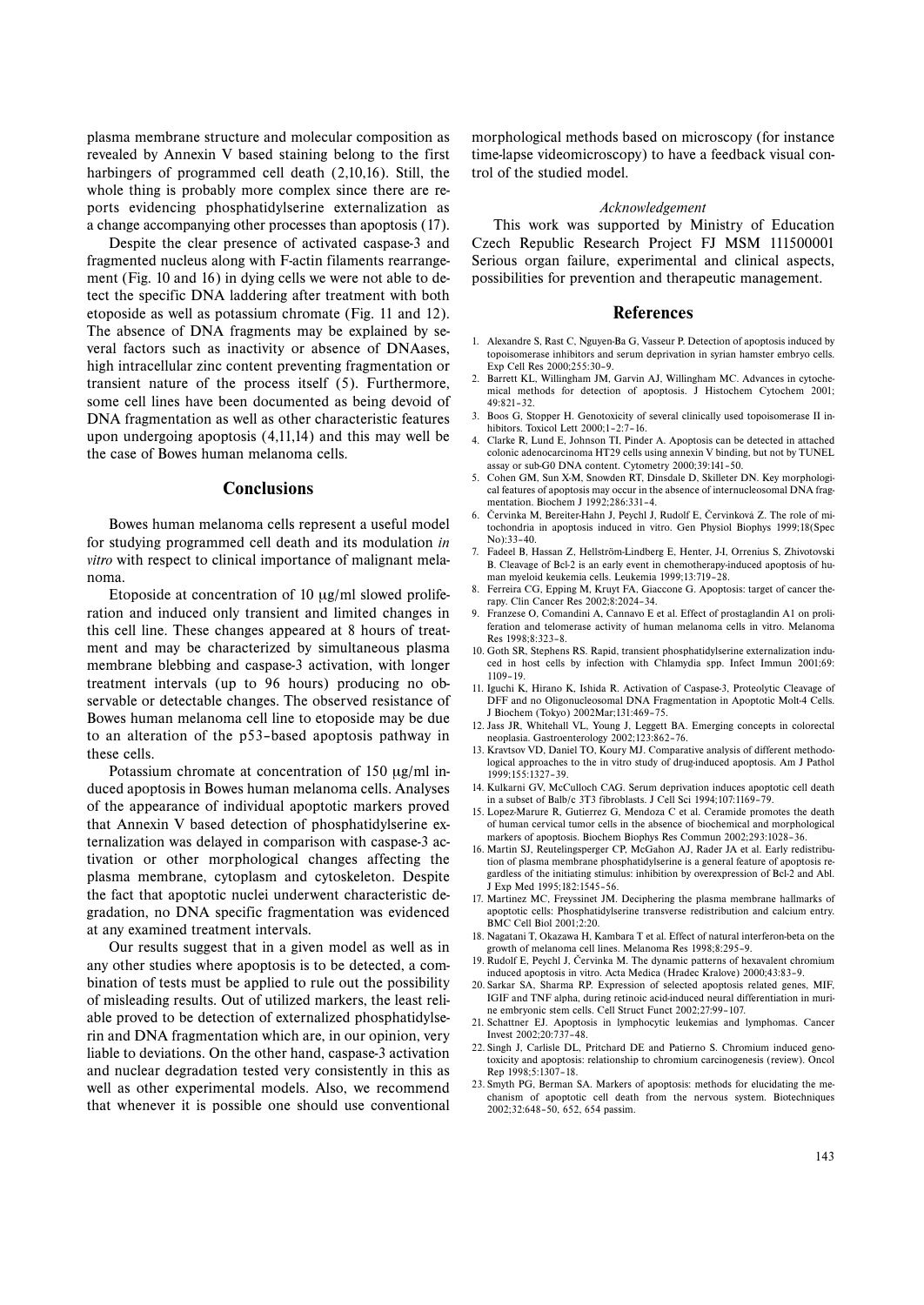plasma membrane structure and molecular composition as revealed by Annexin V based staining belong to the first harbingers of programmed cell death (2,10,16). Still, the whole thing is probably more complex since there are reports evidencing phosphatidylserine externalization as a change accompanying other processes than apoptosis (17).

Despite the clear presence of activated caspase-3 and fragmented nucleus along with F-actin filaments rearrangement (Fig. 10 and 16) in dying cells we were not able to detect the specific DNA laddering after treatment with both etoposide as well as potassium chromate (Fig. 11 and 12). The absence of DNA fragments may be explained by several factors such as inactivity or absence of DNAases, high intracellular zinc content preventing fragmentation or transient nature of the process itself (5). Furthermore, some cell lines have been documented as being devoid of DNA fragmentation as well as other characteristic features upon undergoing apoptosis (4,11,14) and this may well be the case of Bowes human melanoma cells.

# **Conclusions**

Bowes human melanoma cells represent a useful model for studying programmed cell death and its modulation *in vitro* with respect to clinical importance of malignant melanoma.

Etoposide at concentration of 10 µg/ml slowed proliferation and induced only transient and limited changes in this cell line. These changes appeared at 8 hours of treatment and may be characterized by simultaneous plasma membrane blebbing and caspase-3 activation, with longer treatment intervals (up to 96 hours) producing no observable or detectable changes. The observed resistance of Bowes human melanoma cell line to etoposide may be due to an alteration of the p53–based apoptosis pathway in these cells.

Potassium chromate at concentration of 150 µg/ml induced apoptosis in Bowes human melanoma cells. Analyses of the appearance of individual apoptotic markers proved that Annexin V based detection of phosphatidylserine externalization was delayed in comparison with caspase-3 activation or other morphological changes affecting the plasma membrane, cytoplasm and cytoskeleton. Despite the fact that apoptotic nuclei underwent characteristic degradation, no DNA specific fragmentation was evidenced at any examined treatment intervals.

Our results suggest that in a given model as well as in any other studies where apoptosis is to be detected, a combination of tests must be applied to rule out the possibility of misleading results. Out of utilized markers, the least reliable proved to be detection of externalized phosphatidylserin and DNA fragmentation which are, in our opinion, very liable to deviations. On the other hand, caspase-3 activation and nuclear degradation tested very consistently in this as well as other experimental models. Also, we recommend that whenever it is possible one should use conventional

morphological methods based on microscopy (for instance time-lapse videomicroscopy) to have a feedback visual control of the studied model.

#### *Acknowledgement*

This work was supported by Ministry of Education Czech Republic Research Project FJ MSM 111500001 Serious organ failure, experimental and clinical aspects, possibilities for prevention and therapeutic management.

#### **References**

- 1. Alexandre S, Rast C, Nguyen-Ba G, Vasseur P. Detection of apoptosis induced by topoisomerase inhibitors and serum deprivation in syrian hamster embryo cells. Exp Cell Res 2000;255:30–9.
- 2. Barrett KL, Willingham JM, Garvin AJ, Willingham MC. Advances in cytochemical methods for detection of apoptosis. J Histochem Cytochem 2001; 49:821–32.
- 3. Boos G, Stopper H. Genotoxicity of several clinically used topoisomerase II inhibitors. Toxicol Lett 2000;1–2:7–16.
- 4. Clarke R, Lund E, Johnson TI, Pinder A. Apoptosis can be detected in attached colonic adenocarcinoma HT29 cells using annexin V binding, but not by TUNEL assay or sub-G0 DNA content. Cytometry 2000;39:141–50.
- 5. Cohen GM, Sun X-M, Snowden RT, Dinsdale D, Skilleter DN. Key morphological features of apoptosis may occur in the absence of internucleosomal DNA fragmentation. Biochem I 1992;286:331-4.
- 6. Červinka M, Bereiter-Hahn J, Peychl J, Rudolf E, Červinková Z. The role of mitochondria in apoptosis induced in vitro. Gen Physiol Biophys 1999;18(Spec No):33–40.
- 7. Fadeel B, Hassan Z, Hellström-Lindberg E, Henter, J-I, Orrenius S, Zhivotovski B. Cleavage of Bcl-2 is an early event in chemotherapy-induced apoptosis of human myeloid keukemia cells. Leukemia 1999;13:719–28.
- 8. Ferreira CG, Epping M, Kruyt FA, Giaccone G. Apoptosis: target of cancer therapy. Clin Cancer Res 2002;8:2024–34.
- 9. Franzese O, Comandini A, Cannavo E et al. Effect of prostaglandin A1 on proliferation and telomerase activity of human melanoma cells in vitro. Melanoma Res 1998;8:323–8.
- 10. Goth SR, Stephens RS. Rapid, transient phosphatidylserine externalization induced in host cells by infection with Chlamydia spp. Infect Immun 2001;69: 1109–19.
- 11. Iguchi K, Hirano K, Ishida R. Activation of Caspase-3, Proteolytic Cleavage of DFF and no Oligonucleosomal DNA Fragmentation in Apoptotic Molt-4 Cells. J Biochem (Tokyo) 2002Mar;131:469–75.
- 12. Jass JR, Whitehall VL, Young J, Leggett BA. Emerging concepts in colorectal neoplasia. Gastroenterology 2002;123:862–76.
- 13. Kravtsov VD, Daniel TO, Koury MJ. Comparative analysis of different methodological approaches to the in vitro study of drug-induced apoptosis. Am J Pathol 1999;155:1327–39.
- 14. Kulkarni GV, McCulloch CAG. Serum deprivation induces apoptotic cell death in a subset of Balb/c 3T3 fibroblasts. J Cell Sci 1994;107:1169–79.
- 15. Lopez-Marure R, Gutierrez G, Mendoza C et al. Ceramide promotes the death of human cervical tumor cells in the absence of biochemical and morphological markers of apoptosis. Biochem Biophys Res Commun 2002;293:1028–36.
- 16. Martin SJ, Reutelingsperger CP, McGahon AJ, Rader JA et al. Early redistribution of plasma membrane phosphatidylserine is a general feature of apoptosis regardless of the initiating stimulus: inhibition by overexpression of Bcl-2 and Abl. J Exp Med 1995;182:1545–56.
- 17. Martinez MC, Freyssinet JM. Deciphering the plasma membrane hallmarks of apoptotic cells: Phosphatidylserine transverse redistribution and calcium entry. BMC Cell Biol 2001;2:20.
- 18. Nagatani T, Okazawa H, Kambara T et al. Effect of natural interferon-beta on the growth of melanoma cell lines. Melanoma Res 1998;8:295–9.
- 19. Rudolf E, Peychl J, Červinka M. The dynamic patterns of hexavalent chromium induced apoptosis in vitro. Acta Medica (Hradec Kralove) 2000;43:83–9.
- 20. Sarkar SA, Sharma RP. Expression of selected apoptosis related genes, MIF, IGIF and TNF alpha, during retinoic acid-induced neural differentiation in murine embryonic stem cells. Cell Struct Funct 2002;27:99–107.
- 21. Schattner EJ. Apoptosis in lymphocytic leukemias and lymphomas. Cancer Invest 2002;20:737–48.
- 22. Singh J, Carlisle DL, Pritchard DE and Patierno S. Chromium induced genotoxicity and apoptosis: relationship to chromium carcinogenesis (review). Oncol Rep 1998;5:1307–18.
- 23. Smyth PG, Berman SA. Markers of apoptosis: methods for elucidating the mechanism of apoptotic cell death from the nervous system. Biotechniques 2002;32:648–50, 652, 654 passim.